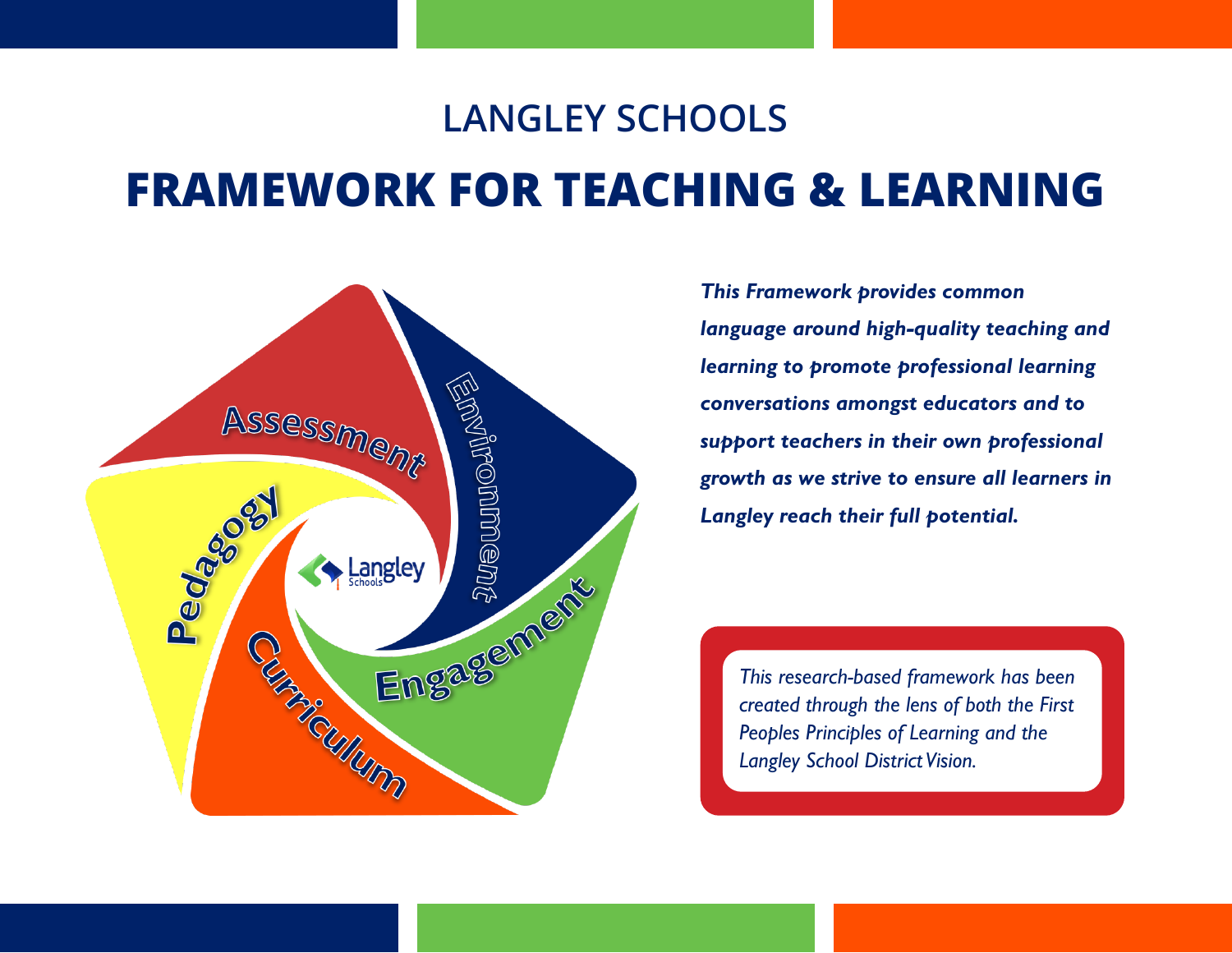### **LANGLEY SCHOOLS**

# **FRAMEWORK FOR TEACHING & LEARNING**



*This Framework provides common language around high-quality teaching and learning to promote professional learning conversations amongst educators and to support teachers in their own professional growth as we strive to ensure all learners in Langley reach their full potential.* 

*This research-based framework has been created through the lens of both the First Peoples Principles of Learning and the Langley School District Vision.*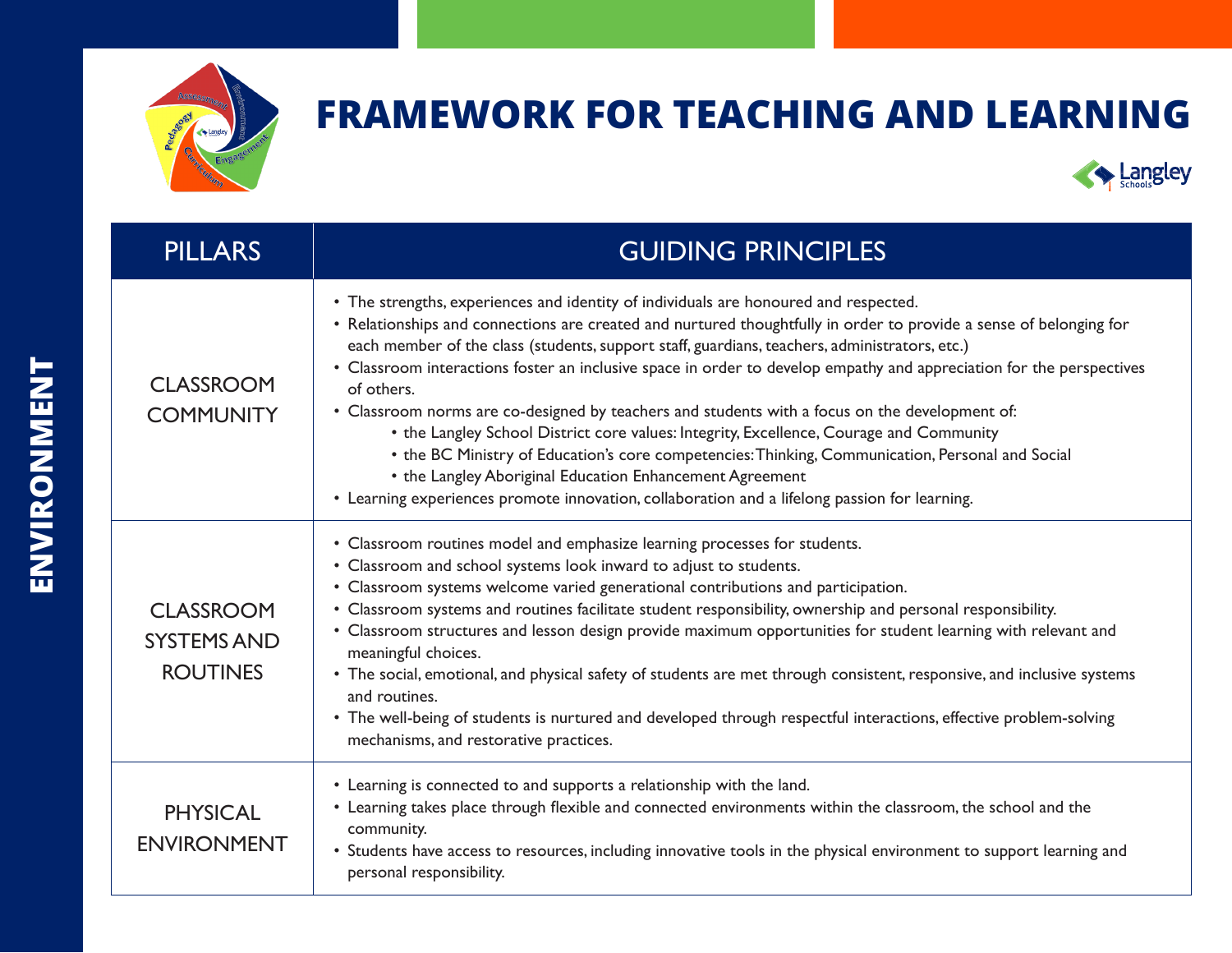



| <b>PILLARS</b>                                            | <b>GUIDING PRINCIPLES</b>                                                                                                                                                                                                                                                                                                                                                                                                                                                                                                                                                                                                                                                                                                                                                                                                                                                                                       |  |
|-----------------------------------------------------------|-----------------------------------------------------------------------------------------------------------------------------------------------------------------------------------------------------------------------------------------------------------------------------------------------------------------------------------------------------------------------------------------------------------------------------------------------------------------------------------------------------------------------------------------------------------------------------------------------------------------------------------------------------------------------------------------------------------------------------------------------------------------------------------------------------------------------------------------------------------------------------------------------------------------|--|
| <b>CLASSROOM</b><br><b>COMMUNITY</b>                      | • The strengths, experiences and identity of individuals are honoured and respected.<br>• Relationships and connections are created and nurtured thoughtfully in order to provide a sense of belonging for<br>each member of the class (students, support staff, guardians, teachers, administrators, etc.)<br>• Classroom interactions foster an inclusive space in order to develop empathy and appreciation for the perspectives<br>of others.<br>• Classroom norms are co-designed by teachers and students with a focus on the development of:<br>• the Langley School District core values: Integrity, Excellence, Courage and Community<br>• the BC Ministry of Education's core competencies: Thinking, Communication, Personal and Social<br>• the Langley Aboriginal Education Enhancement Agreement<br>• Learning experiences promote innovation, collaboration and a lifelong passion for learning. |  |
| <b>CLASSROOM</b><br><b>SYSTEMS AND</b><br><b>ROUTINES</b> | • Classroom routines model and emphasize learning processes for students.<br>• Classroom and school systems look inward to adjust to students.<br>• Classroom systems welcome varied generational contributions and participation.<br>• Classroom systems and routines facilitate student responsibility, ownership and personal responsibility.<br>• Classroom structures and lesson design provide maximum opportunities for student learning with relevant and<br>meaningful choices.<br>• The social, emotional, and physical safety of students are met through consistent, responsive, and inclusive systems<br>and routines.<br>• The well-being of students is nurtured and developed through respectful interactions, effective problem-solving<br>mechanisms, and restorative practices.                                                                                                              |  |
| <b>PHYSICAL</b><br><b>ENVIRONMENT</b>                     | • Learning is connected to and supports a relationship with the land.<br>• Learning takes place through flexible and connected environments within the classroom, the school and the<br>community.<br>• Students have access to resources, including innovative tools in the physical environment to support learning and<br>personal responsibility.                                                                                                                                                                                                                                                                                                                                                                                                                                                                                                                                                           |  |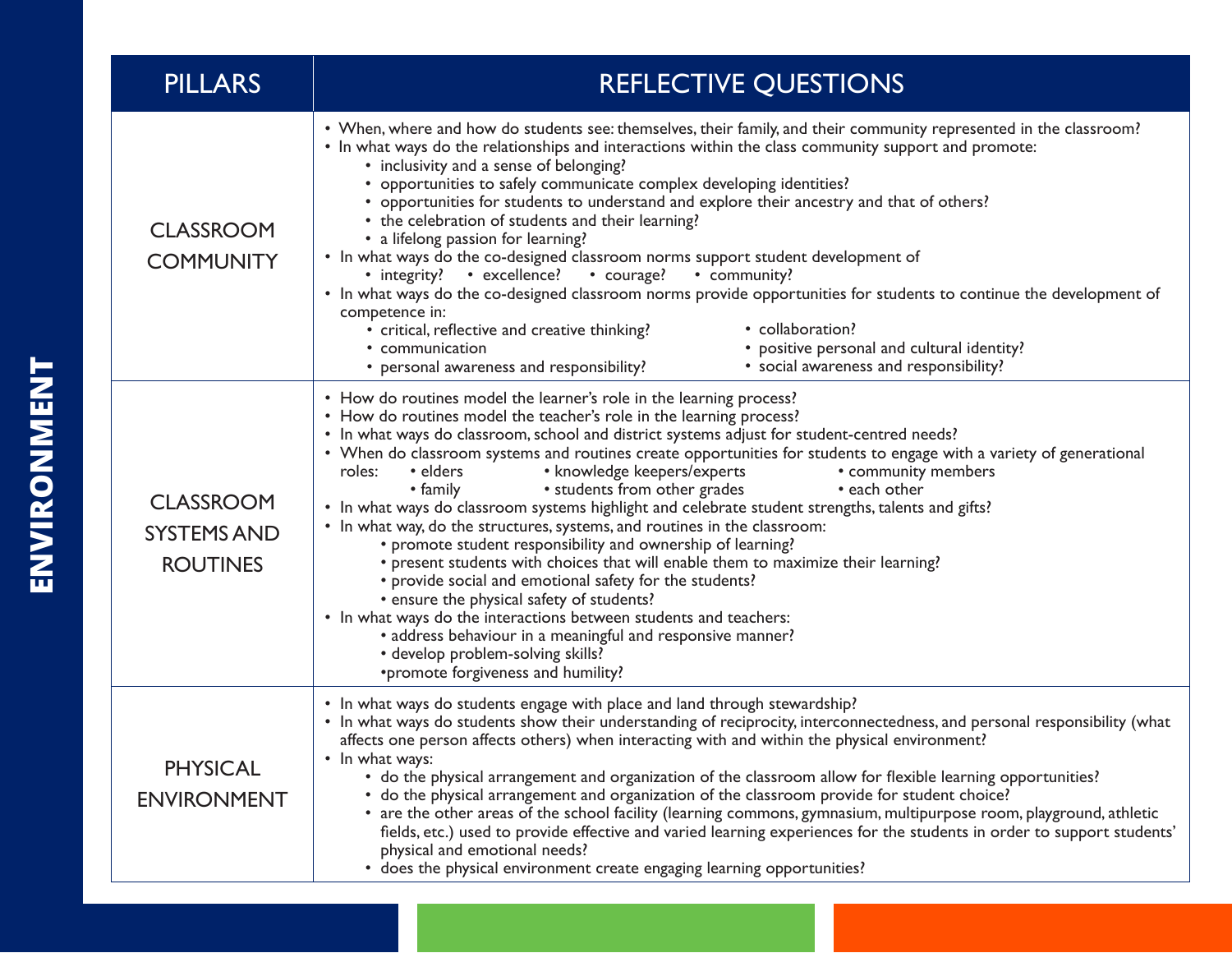| <b>PILLARS</b>                                            | <b>REFLECTIVE QUESTIONS</b>                                                                                                                                                                                                                                                                                                                                                                                                                                                                                                                                                                                                                                                                                                                                                                                                                                                                                                                                                                                                                                                                                                                                                 |  |
|-----------------------------------------------------------|-----------------------------------------------------------------------------------------------------------------------------------------------------------------------------------------------------------------------------------------------------------------------------------------------------------------------------------------------------------------------------------------------------------------------------------------------------------------------------------------------------------------------------------------------------------------------------------------------------------------------------------------------------------------------------------------------------------------------------------------------------------------------------------------------------------------------------------------------------------------------------------------------------------------------------------------------------------------------------------------------------------------------------------------------------------------------------------------------------------------------------------------------------------------------------|--|
| <b>CLASSROOM</b><br><b>COMMUNITY</b>                      | • When, where and how do students see: themselves, their family, and their community represented in the classroom?<br>• In what ways do the relationships and interactions within the class community support and promote:<br>• inclusivity and a sense of belonging?<br>• opportunities to safely communicate complex developing identities?<br>• opportunities for students to understand and explore their ancestry and that of others?<br>• the celebration of students and their learning?<br>• a lifelong passion for learning?<br>• In what ways do the co-designed classroom norms support student development of<br>• integrity? • excellence? • courage?<br>• community?<br>• In what ways do the co-designed classroom norms provide opportunities for students to continue the development of<br>competence in:<br>• collaboration?<br>· critical, reflective and creative thinking?<br>• positive personal and cultural identity?<br>• communication<br>• social awareness and responsibility?<br>• personal awareness and responsibility?                                                                                                                     |  |
| <b>CLASSROOM</b><br><b>SYSTEMS AND</b><br><b>ROUTINES</b> | • How do routines model the learner's role in the learning process?<br>• How do routines model the teacher's role in the learning process?<br>• In what ways do classroom, school and district systems adjust for student-centred needs?<br>• When do classroom systems and routines create opportunities for students to engage with a variety of generational<br>• knowledge keepers/experts<br>• community members<br>$\bullet$ elders<br>roles:<br>• students from other grades<br>• each other<br>• family<br>• In what ways do classroom systems highlight and celebrate student strengths, talents and gifts?<br>• In what way, do the structures, systems, and routines in the classroom:<br>• promote student responsibility and ownership of learning?<br>• present students with choices that will enable them to maximize their learning?<br>• provide social and emotional safety for the students?<br>• ensure the physical safety of students?<br>• In what ways do the interactions between students and teachers:<br>• address behaviour in a meaningful and responsive manner?<br>• develop problem-solving skills?<br>*promote forgiveness and humility? |  |
| <b>PHYSICAL</b><br><b>ENVIRONMENT</b>                     | • In what ways do students engage with place and land through stewardship?<br>• In what ways do students show their understanding of reciprocity, interconnectedness, and personal responsibility (what<br>affects one person affects others) when interacting with and within the physical environment?<br>• In what ways:<br>• do the physical arrangement and organization of the classroom allow for flexible learning opportunities?<br>• do the physical arrangement and organization of the classroom provide for student choice?<br>• are the other areas of the school facility (learning commons, gymnasium, multipurpose room, playground, athletic<br>fields, etc.) used to provide effective and varied learning experiences for the students in order to support students'<br>physical and emotional needs?<br>• does the physical environment create engaging learning opportunities?                                                                                                                                                                                                                                                                        |  |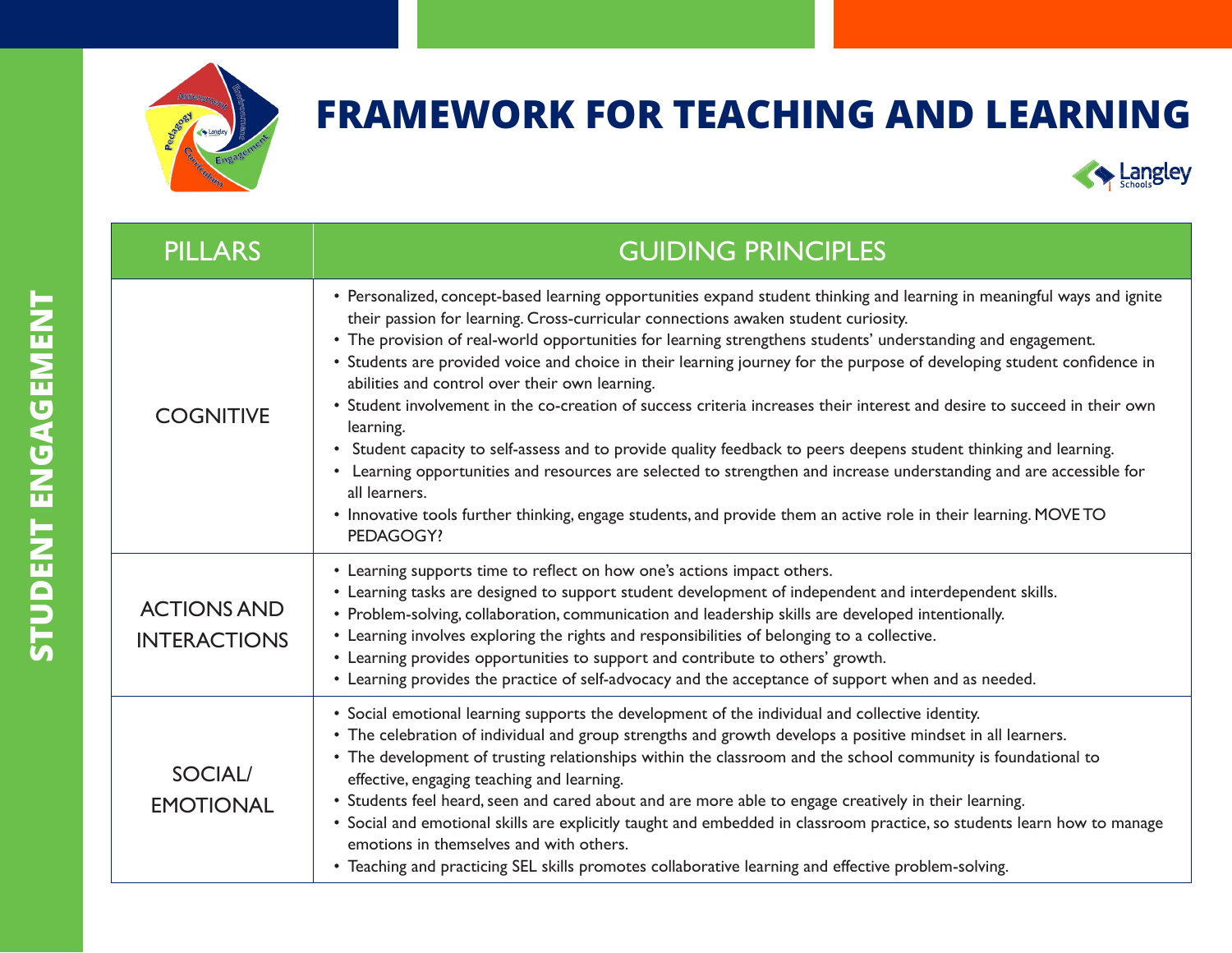



| <b>PILLARS</b>                            | <b>GUIDING PRINCIPLES</b>                                                                                                                                                                                                                                                                                                                                                                                                                                                                                                                                                                                                                                                                                                                                                                                                                                                                                                                                                                                                                       |  |
|-------------------------------------------|-------------------------------------------------------------------------------------------------------------------------------------------------------------------------------------------------------------------------------------------------------------------------------------------------------------------------------------------------------------------------------------------------------------------------------------------------------------------------------------------------------------------------------------------------------------------------------------------------------------------------------------------------------------------------------------------------------------------------------------------------------------------------------------------------------------------------------------------------------------------------------------------------------------------------------------------------------------------------------------------------------------------------------------------------|--|
| <b>COGNITIVE</b>                          | • Personalized, concept-based learning opportunities expand student thinking and learning in meaningful ways and ignite<br>their passion for learning. Cross-curricular connections awaken student curiosity.<br>• The provision of real-world opportunities for learning strengthens students' understanding and engagement.<br>• Students are provided voice and choice in their learning journey for the purpose of developing student confidence in<br>abilities and control over their own learning.<br>• Student involvement in the co-creation of success criteria increases their interest and desire to succeed in their own<br>learning.<br>• Student capacity to self-assess and to provide quality feedback to peers deepens student thinking and learning.<br>• Learning opportunities and resources are selected to strengthen and increase understanding and are accessible for<br>all learners.<br>• Innovative tools further thinking, engage students, and provide them an active role in their learning. MOVETO<br>PEDAGOGY? |  |
| <b>ACTIONS AND</b><br><b>INTERACTIONS</b> | • Learning supports time to reflect on how one's actions impact others.<br>• Learning tasks are designed to support student development of independent and interdependent skills.<br>• Problem-solving, collaboration, communication and leadership skills are developed intentionally.<br>• Learning involves exploring the rights and responsibilities of belonging to a collective.<br>• Learning provides opportunities to support and contribute to others' growth.<br>• Learning provides the practice of self-advocacy and the acceptance of support when and as needed.                                                                                                                                                                                                                                                                                                                                                                                                                                                                 |  |
| <b>SOCIAL/</b><br><b>EMOTIONAL</b>        | • Social emotional learning supports the development of the individual and collective identity.<br>• The celebration of individual and group strengths and growth develops a positive mindset in all learners.<br>• The development of trusting relationships within the classroom and the school community is foundational to<br>effective, engaging teaching and learning.<br>• Students feel heard, seen and cared about and are more able to engage creatively in their learning.<br>• Social and emotional skills are explicitly taught and embedded in classroom practice, so students learn how to manage<br>emotions in themselves and with others.<br>• Teaching and practicing SEL skills promotes collaborative learning and effective problem-solving.                                                                                                                                                                                                                                                                              |  |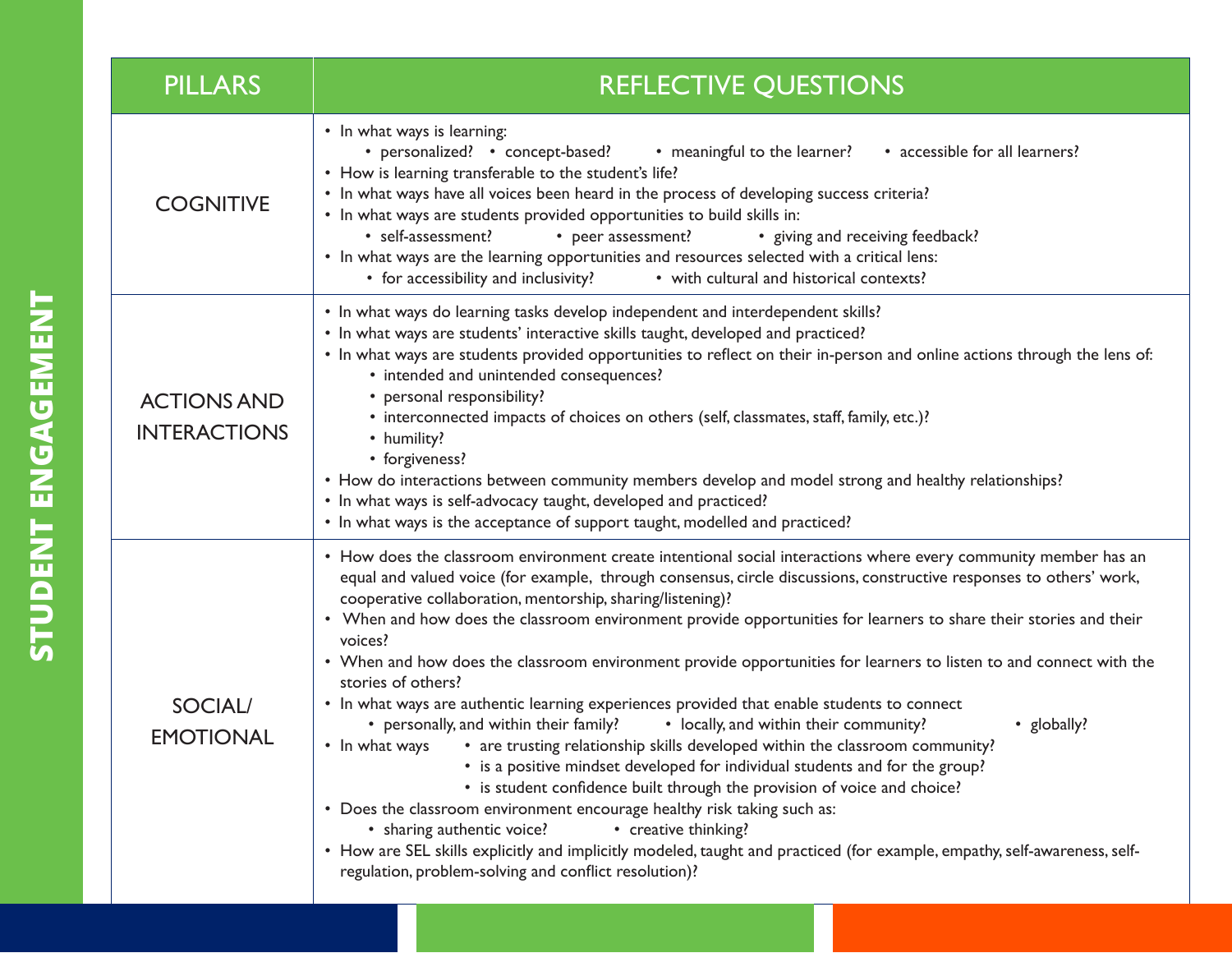| <b>PILLARS</b>                            | REFLECTIVE QUESTIONS                                                                                                                                                                                                                                                                                                                                                                                                                                                                                                                                                                                                                                                                                                                                                                                                                                                                                                                                                                                                                                                                                                                                                                                                                                                                                                                                                   |  |
|-------------------------------------------|------------------------------------------------------------------------------------------------------------------------------------------------------------------------------------------------------------------------------------------------------------------------------------------------------------------------------------------------------------------------------------------------------------------------------------------------------------------------------------------------------------------------------------------------------------------------------------------------------------------------------------------------------------------------------------------------------------------------------------------------------------------------------------------------------------------------------------------------------------------------------------------------------------------------------------------------------------------------------------------------------------------------------------------------------------------------------------------------------------------------------------------------------------------------------------------------------------------------------------------------------------------------------------------------------------------------------------------------------------------------|--|
| <b>COGNITIVE</b>                          | • In what ways is learning:<br>• personalized? • concept-based?<br>• meaningful to the learner?<br>• accessible for all learners?<br>• How is learning transferable to the student's life?<br>• In what ways have all voices been heard in the process of developing success criteria?<br>• In what ways are students provided opportunities to build skills in:<br>• self-assessment?<br>• peer assessment?<br>• giving and receiving feedback?<br>• In what ways are the learning opportunities and resources selected with a critical lens:<br>• for accessibility and inclusivity?<br>• with cultural and historical contexts?                                                                                                                                                                                                                                                                                                                                                                                                                                                                                                                                                                                                                                                                                                                                     |  |
| <b>ACTIONS AND</b><br><b>INTERACTIONS</b> | • In what ways do learning tasks develop independent and interdependent skills?<br>• In what ways are students' interactive skills taught, developed and practiced?<br>• In what ways are students provided opportunities to reflect on their in-person and online actions through the lens of:<br>• intended and unintended consequences?<br>• personal responsibility?<br>• interconnected impacts of choices on others (self, classmates, staff, family, etc.)?<br>• humility?<br>• forgiveness?<br>• How do interactions between community members develop and model strong and healthy relationships?<br>• In what ways is self-advocacy taught, developed and practiced?<br>• In what ways is the acceptance of support taught, modelled and practiced?                                                                                                                                                                                                                                                                                                                                                                                                                                                                                                                                                                                                          |  |
| <b>SOCIAL/</b><br><b>EMOTIONAL</b>        | • How does the classroom environment create intentional social interactions where every community member has an<br>equal and valued voice (for example, through consensus, circle discussions, constructive responses to others' work,<br>cooperative collaboration, mentorship, sharing/listening)?<br>• When and how does the classroom environment provide opportunities for learners to share their stories and their<br>voices?<br>• When and how does the classroom environment provide opportunities for learners to listen to and connect with the<br>stories of others?<br>• In what ways are authentic learning experiences provided that enable students to connect<br>• personally, and within their family?<br>• locally, and within their community?<br>• globally?<br>• are trusting relationship skills developed within the classroom community?<br>• In what ways<br>• is a positive mindset developed for individual students and for the group?<br>• is student confidence built through the provision of voice and choice?<br>• Does the classroom environment encourage healthy risk taking such as:<br>• sharing authentic voice?<br>• creative thinking?<br>• How are SEL skills explicitly and implicitly modeled, taught and practiced (for example, empathy, self-awareness, self-<br>regulation, problem-solving and conflict resolution)? |  |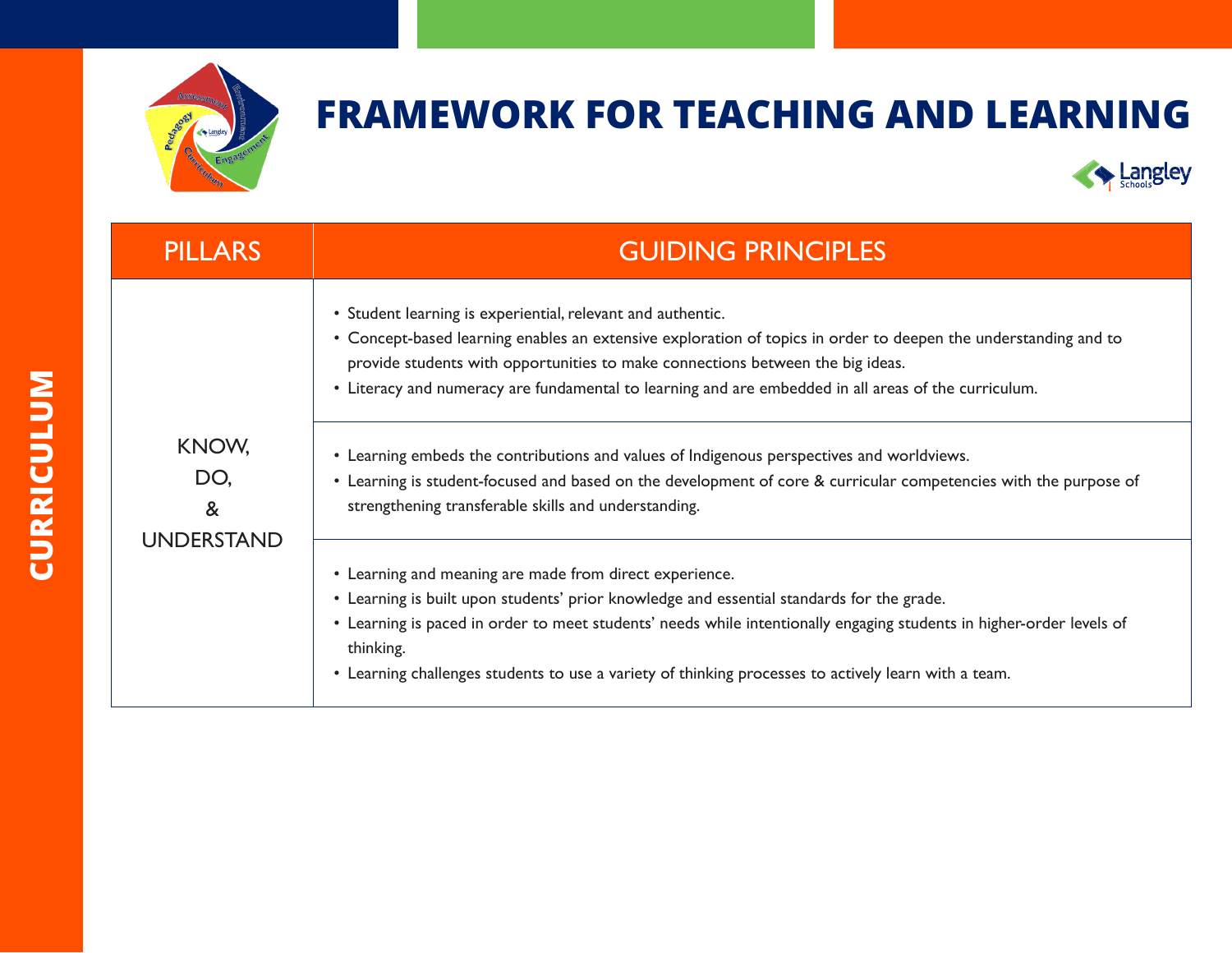



| <b>PILLARS</b>                         | <b>GUIDING PRINCIPLES</b>                                                                                                                                                                                                                                                                                                                                                                                                                                                                                                                                                                                                                         |
|----------------------------------------|---------------------------------------------------------------------------------------------------------------------------------------------------------------------------------------------------------------------------------------------------------------------------------------------------------------------------------------------------------------------------------------------------------------------------------------------------------------------------------------------------------------------------------------------------------------------------------------------------------------------------------------------------|
| KNOW,<br>DO,<br>&<br><b>UNDERSTAND</b> | • Student learning is experiential, relevant and authentic.<br>• Concept-based learning enables an extensive exploration of topics in order to deepen the understanding and to<br>provide students with opportunities to make connections between the big ideas.<br>• Literacy and numeracy are fundamental to learning and are embedded in all areas of the curriculum.<br>• Learning embeds the contributions and values of Indigenous perspectives and worldviews.<br>• Learning is student-focused and based on the development of core & curricular competencies with the purpose of<br>strengthening transferable skills and understanding. |
|                                        | • Learning and meaning are made from direct experience.<br>• Learning is built upon students' prior knowledge and essential standards for the grade.<br>• Learning is paced in order to meet students' needs while intentionally engaging students in higher-order levels of<br>thinking.<br>• Learning challenges students to use a variety of thinking processes to actively learn with a team.                                                                                                                                                                                                                                                 |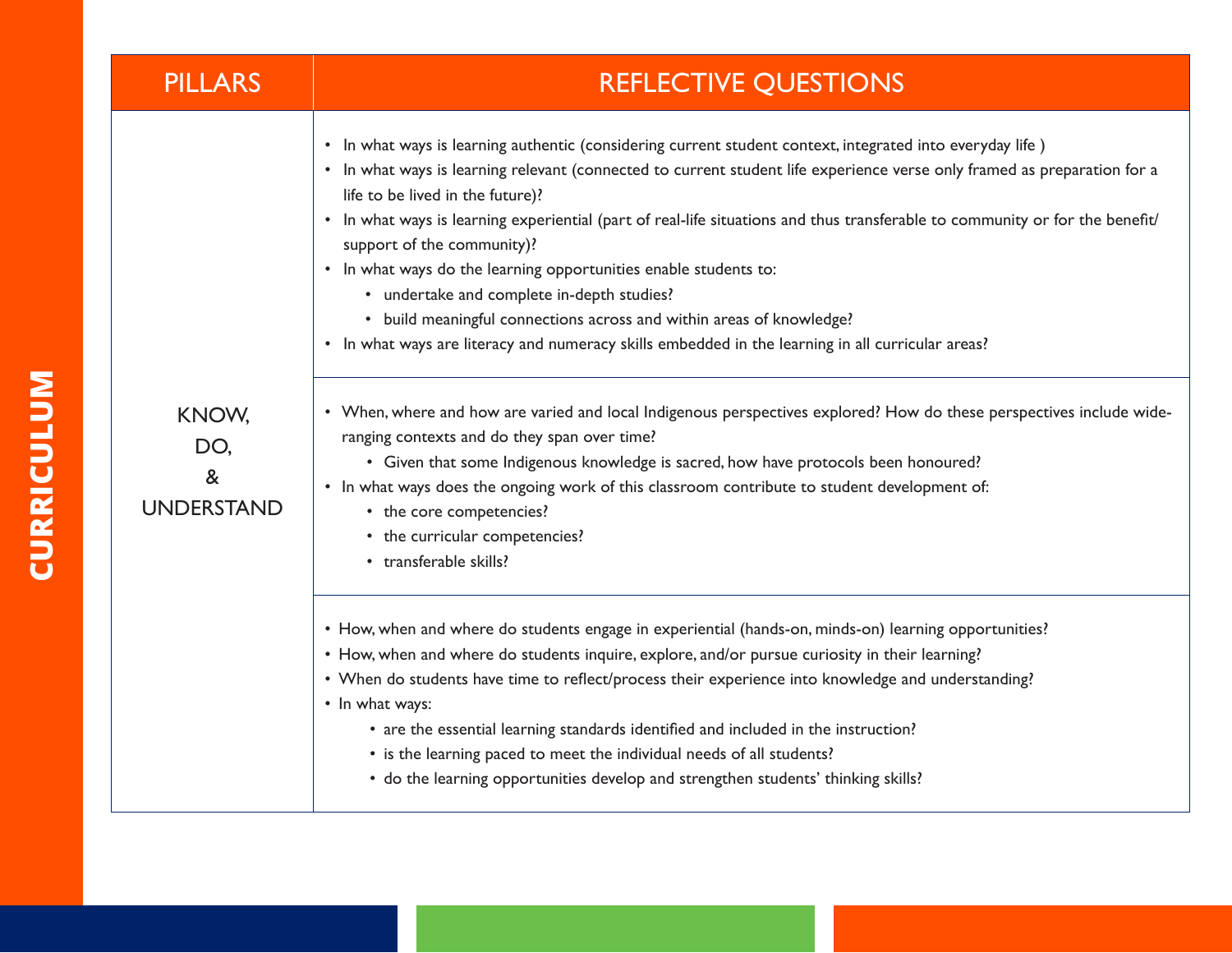| <b>PILLARS</b>                         | <b>REFLECTIVE QUESTIONS</b>                                                                                                                                                                                                                                                                                                                                                                                                                                                                                                                                                                                                                                                                                                                                                                                                                                                                                                                                                                                                                                                                                                                                                                   |
|----------------------------------------|-----------------------------------------------------------------------------------------------------------------------------------------------------------------------------------------------------------------------------------------------------------------------------------------------------------------------------------------------------------------------------------------------------------------------------------------------------------------------------------------------------------------------------------------------------------------------------------------------------------------------------------------------------------------------------------------------------------------------------------------------------------------------------------------------------------------------------------------------------------------------------------------------------------------------------------------------------------------------------------------------------------------------------------------------------------------------------------------------------------------------------------------------------------------------------------------------|
| KNOW,<br>DO.<br>&<br><b>UNDERSTAND</b> | • In what ways is learning authentic (considering current student context, integrated into everyday life)<br>• In what ways is learning relevant (connected to current student life experience verse only framed as preparation for a<br>life to be lived in the future)?<br>• In what ways is learning experiential (part of real-life situations and thus transferable to community or for the benefit/<br>support of the community)?<br>• In what ways do the learning opportunities enable students to:<br>• undertake and complete in-depth studies?<br>• build meaningful connections across and within areas of knowledge?<br>• In what ways are literacy and numeracy skills embedded in the learning in all curricular areas?<br>• When, where and how are varied and local Indigenous perspectives explored? How do these perspectives include wide-<br>ranging contexts and do they span over time?<br>• Given that some Indigenous knowledge is sacred, how have protocols been honoured?<br>• In what ways does the ongoing work of this classroom contribute to student development of:<br>• the core competencies?<br>• the curricular competencies?<br>• transferable skills? |
|                                        | • How, when and where do students engage in experiential (hands-on, minds-on) learning opportunities?<br>• How, when and where do students inquire, explore, and/or pursue curiosity in their learning?<br>• When do students have time to reflect/process their experience into knowledge and understanding?<br>• In what ways:<br>• are the essential learning standards identified and included in the instruction?<br>• is the learning paced to meet the individual needs of all students?<br>• do the learning opportunities develop and strengthen students' thinking skills?                                                                                                                                                                                                                                                                                                                                                                                                                                                                                                                                                                                                          |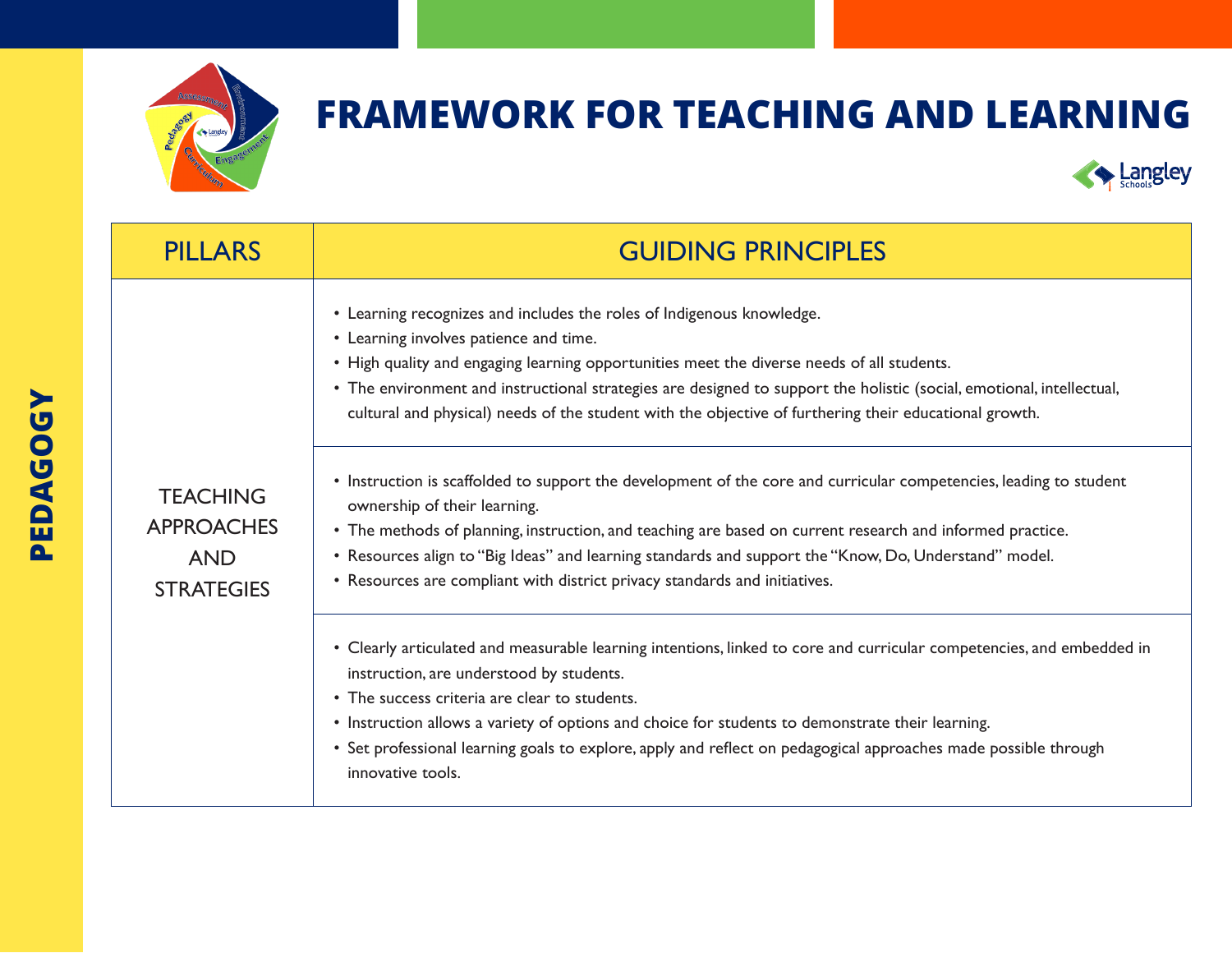



| <b>PILLARS</b>                                     | <b>GUIDING PRINCIPLES</b>                                                                                                                                                                                                                                                                                                                                                                                                                                                                                                                                                                                                                                                                                                                                                                                                                                                                                  |
|----------------------------------------------------|------------------------------------------------------------------------------------------------------------------------------------------------------------------------------------------------------------------------------------------------------------------------------------------------------------------------------------------------------------------------------------------------------------------------------------------------------------------------------------------------------------------------------------------------------------------------------------------------------------------------------------------------------------------------------------------------------------------------------------------------------------------------------------------------------------------------------------------------------------------------------------------------------------|
| <b>TEACHING</b><br><b>APPROACHES</b><br><b>AND</b> | • Learning recognizes and includes the roles of Indigenous knowledge.<br>• Learning involves patience and time.<br>• High quality and engaging learning opportunities meet the diverse needs of all students.<br>• The environment and instructional strategies are designed to support the holistic (social, emotional, intellectual,<br>cultural and physical) needs of the student with the objective of furthering their educational growth.<br>• Instruction is scaffolded to support the development of the core and curricular competencies, leading to student<br>ownership of their learning.<br>• The methods of planning, instruction, and teaching are based on current research and informed practice.<br>• Resources align to "Big Ideas" and learning standards and support the "Know, Do, Understand" model.<br>• Resources are compliant with district privacy standards and initiatives. |
|                                                    | • Clearly articulated and measurable learning intentions, linked to core and curricular competencies, and embedded in<br>instruction, are understood by students.<br>• The success criteria are clear to students.<br>• Instruction allows a variety of options and choice for students to demonstrate their learning.<br>• Set professional learning goals to explore, apply and reflect on pedagogical approaches made possible through<br>innovative tools.                                                                                                                                                                                                                                                                                                                                                                                                                                             |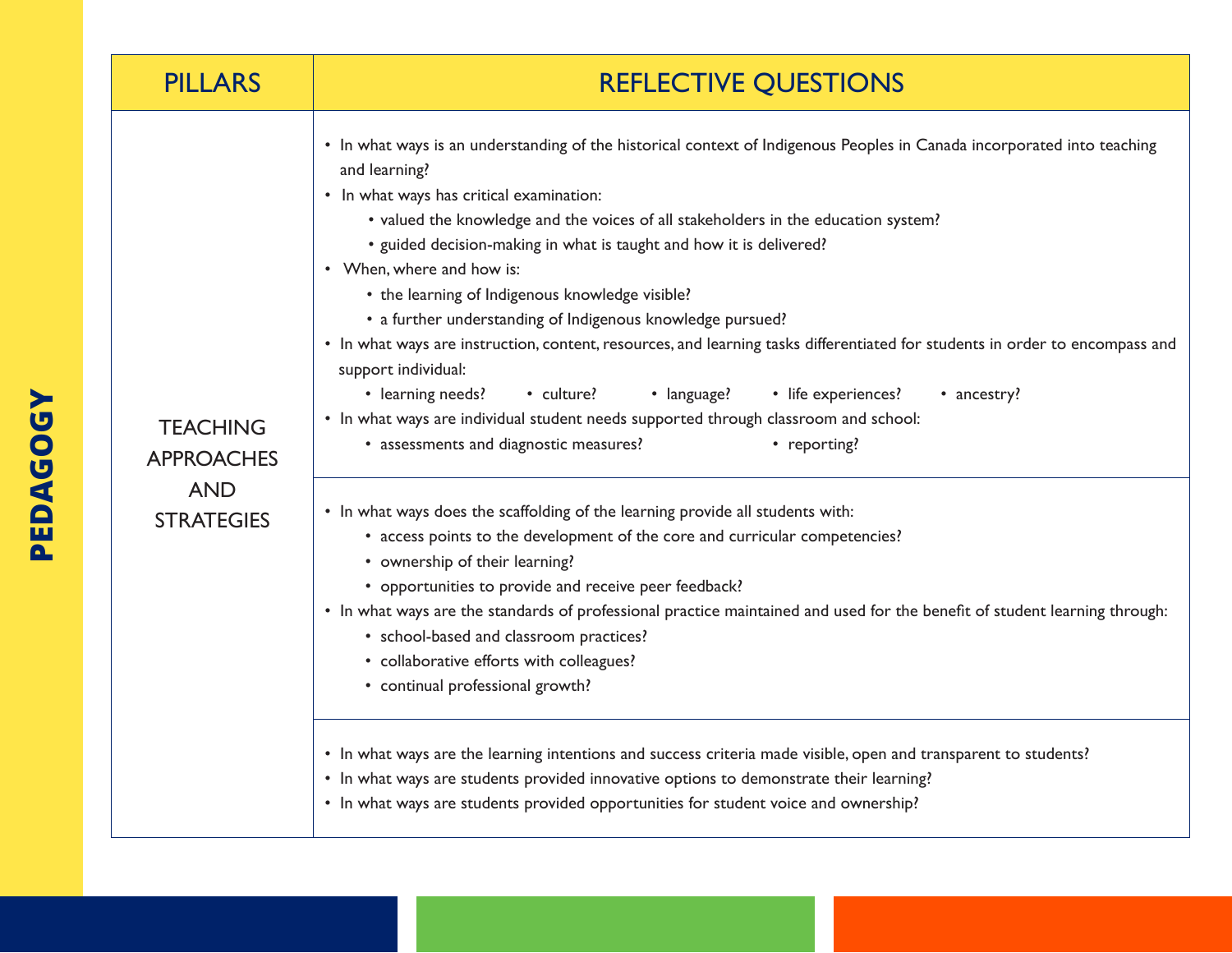| <b>PILLARS</b>                                                          | <b>REFLECTIVE QUESTIONS</b>                                                                                                                                                                                                                                                                                                                                                                                                                                                                                                                                                                                                                                                                                                                                                                                                                                                                                                                                                                                                                                                                                                                                                                                                                                                                                                                                                                                                                                                                                                                                                                                                                                                                                           |
|-------------------------------------------------------------------------|-----------------------------------------------------------------------------------------------------------------------------------------------------------------------------------------------------------------------------------------------------------------------------------------------------------------------------------------------------------------------------------------------------------------------------------------------------------------------------------------------------------------------------------------------------------------------------------------------------------------------------------------------------------------------------------------------------------------------------------------------------------------------------------------------------------------------------------------------------------------------------------------------------------------------------------------------------------------------------------------------------------------------------------------------------------------------------------------------------------------------------------------------------------------------------------------------------------------------------------------------------------------------------------------------------------------------------------------------------------------------------------------------------------------------------------------------------------------------------------------------------------------------------------------------------------------------------------------------------------------------------------------------------------------------------------------------------------------------|
| <b>TEACHING</b><br><b>APPROACHES</b><br><b>AND</b><br><b>STRATEGIES</b> | • In what ways is an understanding of the historical context of Indigenous Peoples in Canada incorporated into teaching<br>and learning?<br>• In what ways has critical examination:<br>• valued the knowledge and the voices of all stakeholders in the education system?<br>• guided decision-making in what is taught and how it is delivered?<br>• When, where and how is:<br>• the learning of Indigenous knowledge visible?<br>• a further understanding of Indigenous knowledge pursued?<br>• In what ways are instruction, content, resources, and learning tasks differentiated for students in order to encompass and<br>support individual:<br>• learning needs? • culture?<br>• life experiences?<br>• language?<br>• ancestry?<br>• In what ways are individual student needs supported through classroom and school:<br>• assessments and diagnostic measures?<br>• reporting?<br>• In what ways does the scaffolding of the learning provide all students with:<br>• access points to the development of the core and curricular competencies?<br>• ownership of their learning?<br>• opportunities to provide and receive peer feedback?<br>• In what ways are the standards of professional practice maintained and used for the benefit of student learning through:<br>• school-based and classroom practices?<br>• collaborative efforts with colleagues?<br>• continual professional growth?<br>• In what ways are the learning intentions and success criteria made visible, open and transparent to students?<br>• In what ways are students provided innovative options to demonstrate their learning?<br>• In what ways are students provided opportunities for student voice and ownership? |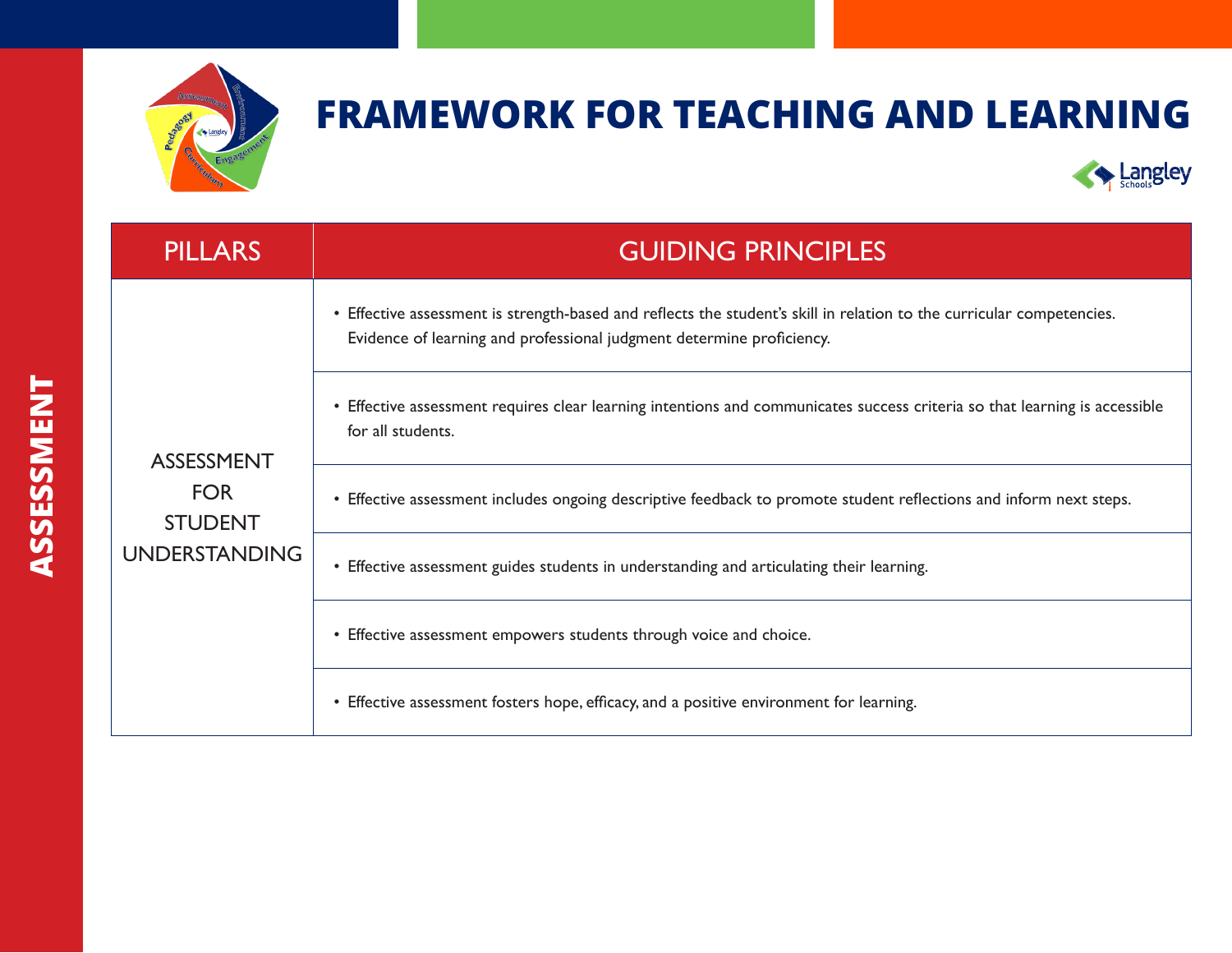



| <b>PILLARS</b>                                                            | <b>GUIDING PRINCIPLES</b>                                                                                                                                                                      |
|---------------------------------------------------------------------------|------------------------------------------------------------------------------------------------------------------------------------------------------------------------------------------------|
| <b>ASSESSMENT</b><br><b>FOR</b><br><b>STUDENT</b><br><b>UNDERSTANDING</b> | • Effective assessment is strength-based and reflects the student's skill in relation to the curricular competencies.<br>Evidence of learning and professional judgment determine proficiency. |
|                                                                           | • Effective assessment requires clear learning intentions and communicates success criteria so that learning is accessible<br>for all students.                                                |
|                                                                           | • Effective assessment includes ongoing descriptive feedback to promote student reflections and inform next steps.                                                                             |
|                                                                           | • Effective assessment guides students in understanding and articulating their learning.                                                                                                       |
|                                                                           | • Effective assessment empowers students through voice and choice.                                                                                                                             |
|                                                                           | • Effective assessment fosters hope, efficacy, and a positive environment for learning.                                                                                                        |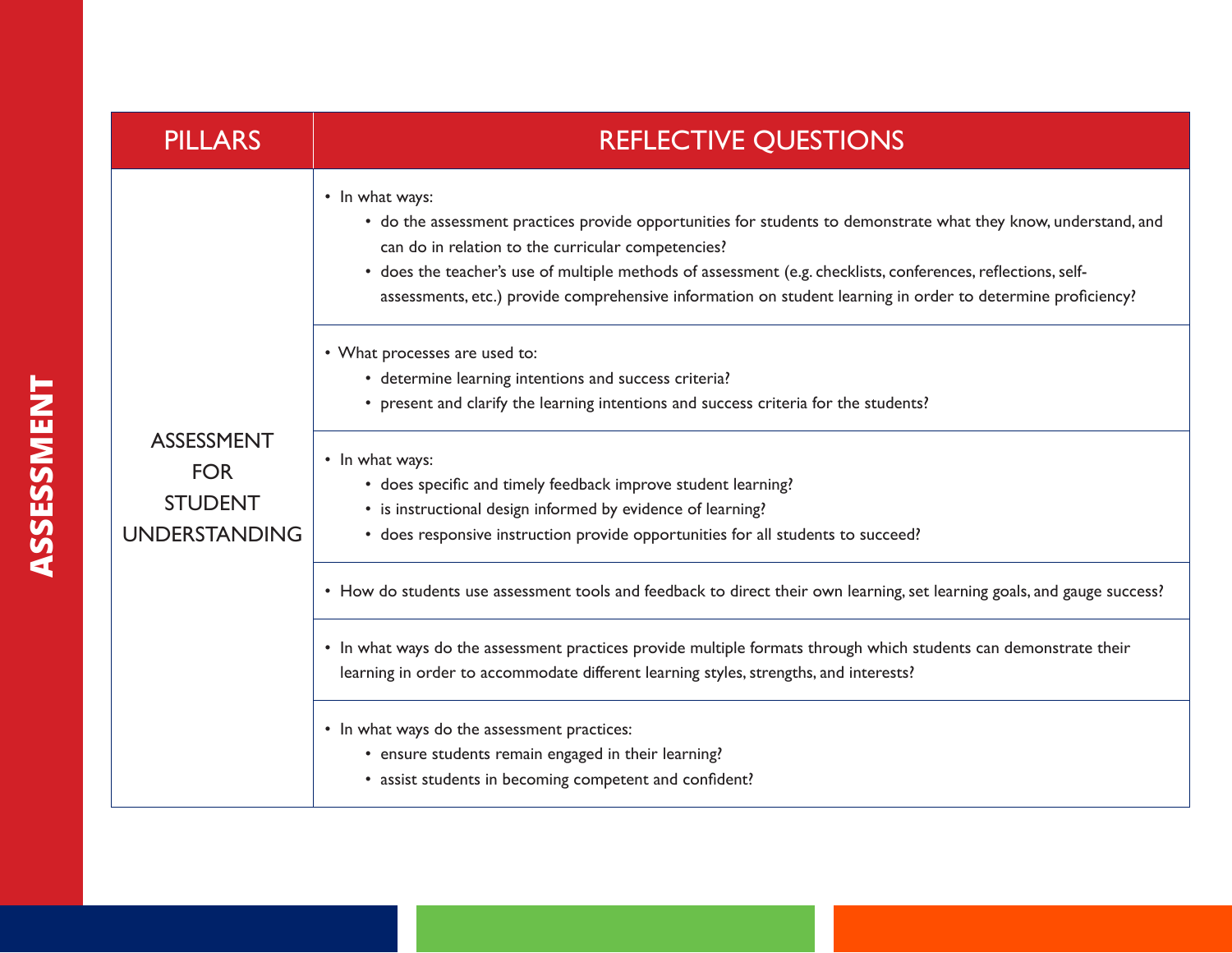| <b>PILLARS</b>                                                     | <b>REFLECTIVE QUESTIONS</b>                                                                                                                                                                                                                                                                                                                                                                                                                                                                                                                                                                                                                                                                                                                                                                                                                                                                                                                                                                                                                                                                                                                                                                                                              |
|--------------------------------------------------------------------|------------------------------------------------------------------------------------------------------------------------------------------------------------------------------------------------------------------------------------------------------------------------------------------------------------------------------------------------------------------------------------------------------------------------------------------------------------------------------------------------------------------------------------------------------------------------------------------------------------------------------------------------------------------------------------------------------------------------------------------------------------------------------------------------------------------------------------------------------------------------------------------------------------------------------------------------------------------------------------------------------------------------------------------------------------------------------------------------------------------------------------------------------------------------------------------------------------------------------------------|
| <b>ASSESSMENT</b><br><b>FOR</b><br><b>STUDENT</b><br>UNDERSTANDING | • In what ways:<br>• do the assessment practices provide opportunities for students to demonstrate what they know, understand, and<br>can do in relation to the curricular competencies?<br>• does the teacher's use of multiple methods of assessment (e.g. checklists, conferences, reflections, self-<br>assessments, etc.) provide comprehensive information on student learning in order to determine proficiency?<br>• What processes are used to:<br>• determine learning intentions and success criteria?<br>• present and clarify the learning intentions and success criteria for the students?<br>• In what ways:<br>• does specific and timely feedback improve student learning?<br>• is instructional design informed by evidence of learning?<br>• does responsive instruction provide opportunities for all students to succeed?<br>• How do students use assessment tools and feedback to direct their own learning, set learning goals, and gauge success?<br>• In what ways do the assessment practices provide multiple formats through which students can demonstrate their<br>learning in order to accommodate different learning styles, strengths, and interests?<br>• In what ways do the assessment practices: |
|                                                                    | • ensure students remain engaged in their learning?<br>• assist students in becoming competent and confident?                                                                                                                                                                                                                                                                                                                                                                                                                                                                                                                                                                                                                                                                                                                                                                                                                                                                                                                                                                                                                                                                                                                            |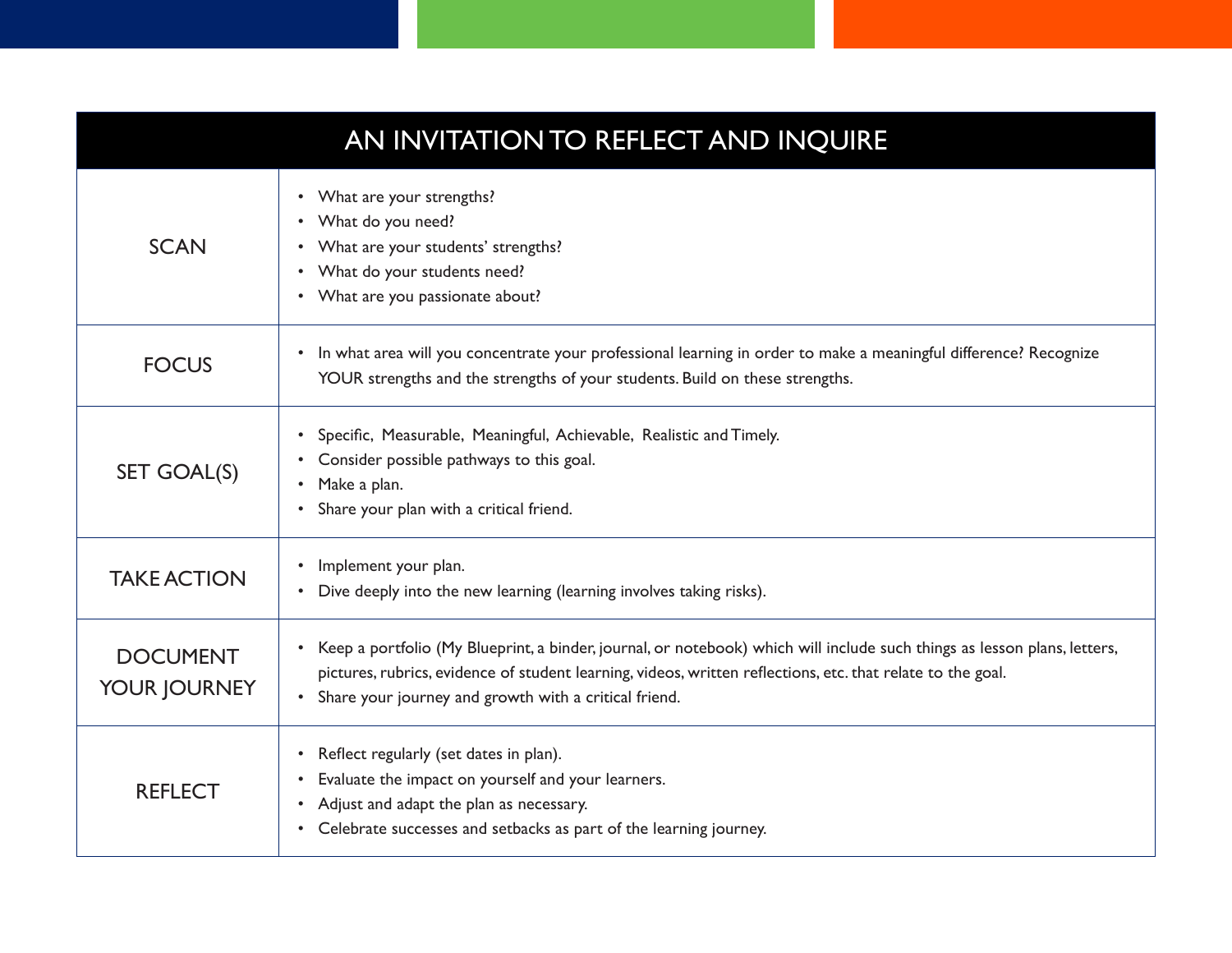|                                 | AN INVITATION TO REFLECT AND INQUIRE                                                                                                                                                                                                                                                                 |
|---------------------------------|------------------------------------------------------------------------------------------------------------------------------------------------------------------------------------------------------------------------------------------------------------------------------------------------------|
| <b>SCAN</b>                     | What are your strengths?<br>$\bullet$<br>What do you need?<br>$\bullet$<br>What are your students' strengths?<br>٠<br>What do your students need?<br>$\bullet$<br>• What are you passionate about?                                                                                                   |
| <b>FOCUS</b>                    | In what area will you concentrate your professional learning in order to make a meaningful difference? Recognize<br>$\bullet$<br>YOUR strengths and the strengths of your students. Build on these strengths.                                                                                        |
| SET GOAL(S)                     | Specific, Measurable, Meaningful, Achievable, Realistic and Timely.<br>$\bullet$<br>Consider possible pathways to this goal.<br>Make a plan.<br>$\bullet$<br>Share your plan with a critical friend.                                                                                                 |
| <b>TAKE ACTION</b>              | Implement your plan.<br>$\bullet$<br>Dive deeply into the new learning (learning involves taking risks).<br>$\bullet$                                                                                                                                                                                |
| <b>DOCUMENT</b><br>YOUR JOURNEY | • Keep a portfolio (My Blueprint, a binder, journal, or notebook) which will include such things as lesson plans, letters,<br>pictures, rubrics, evidence of student learning, videos, written reflections, etc. that relate to the goal.<br>• Share your journey and growth with a critical friend. |
| <b>REFLECT</b>                  | Reflect regularly (set dates in plan).<br>٠<br>Evaluate the impact on yourself and your learners.<br>$\bullet$<br>Adjust and adapt the plan as necessary.<br>Celebrate successes and setbacks as part of the learning journey.<br>$\bullet$                                                          |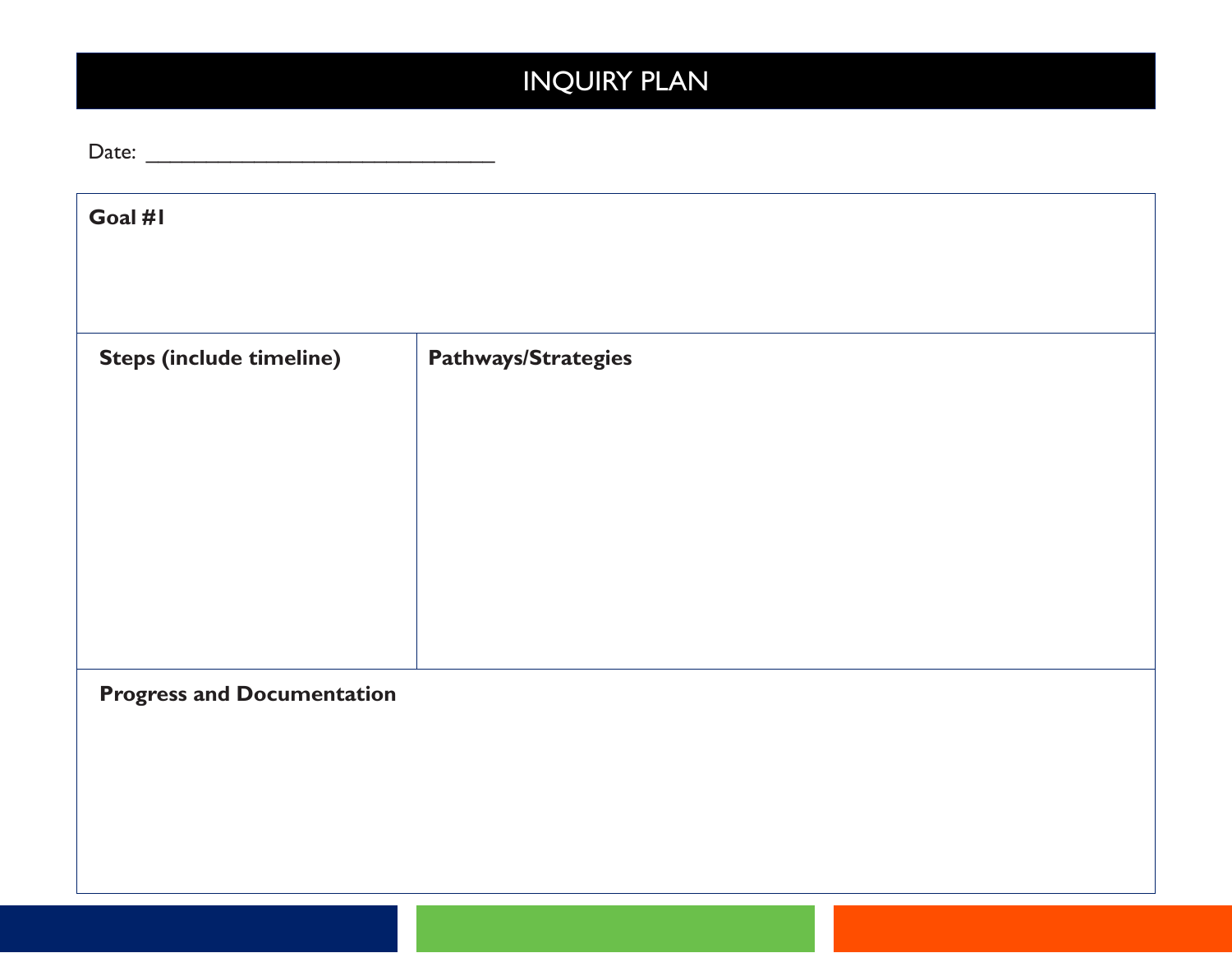### INQUIRY PLAN

| Goal #1                           |                            |  |  |
|-----------------------------------|----------------------------|--|--|
|                                   |                            |  |  |
|                                   |                            |  |  |
| <b>Steps (include timeline)</b>   | <b>Pathways/Strategies</b> |  |  |
|                                   |                            |  |  |
|                                   |                            |  |  |
|                                   |                            |  |  |
|                                   |                            |  |  |
|                                   |                            |  |  |
|                                   |                            |  |  |
| <b>Progress and Documentation</b> |                            |  |  |
|                                   |                            |  |  |
|                                   |                            |  |  |
|                                   |                            |  |  |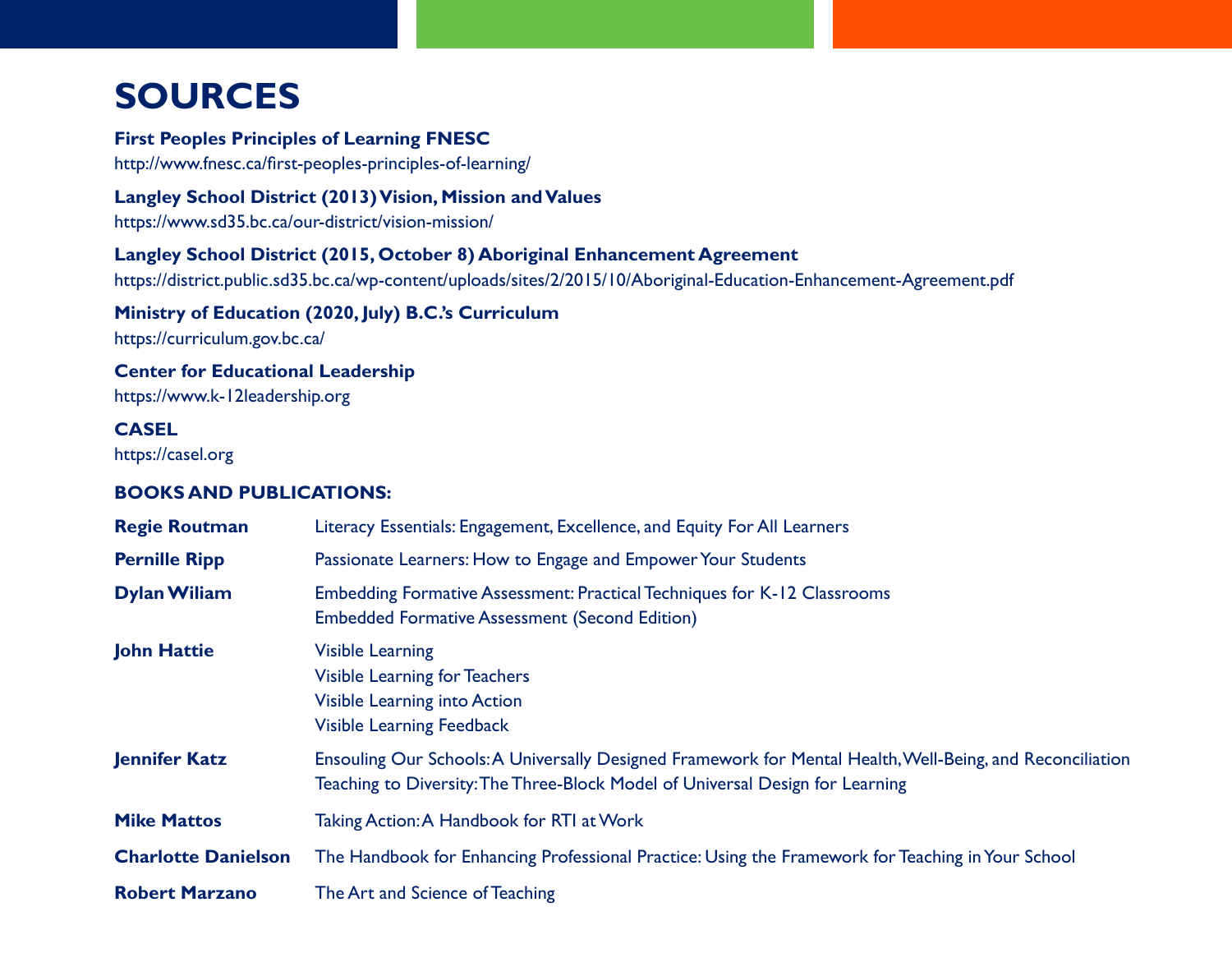### **SOURCES**

#### **First Peoples Principles of Learning FNESC**

http://www.fnesc.ca/first-peoples-principles-of-learning/

#### **Langley School District (2013) Vision, Mission and Values**

https://www.sd35.bc.ca/our-district/vision-mission/

#### **Langley School District (2015, October 8) Aboriginal Enhancement Agreement**

https://district.public.sd35.bc.ca/wp-content/uploads/sites/2/2015/10/Aboriginal-Education-Enhancement-Agreement.pdf

#### **Ministry of Education (2020, July) B.C.'s Curriculum**

https://curriculum.gov.bc.ca/

### **Center for Educational Leadership**

https://www.k-12leadership.org

#### **CASEL**

https://casel.org

#### **BOOKS AND PUBLICATIONS:**

| <b>Regie Routman</b>       | Literacy Essentials: Engagement, Excellence, and Equity For All Learners                                                                                                                   |
|----------------------------|--------------------------------------------------------------------------------------------------------------------------------------------------------------------------------------------|
| <b>Pernille Ripp</b>       | Passionate Learners: How to Engage and Empower Your Students                                                                                                                               |
| <b>Dylan Wiliam</b>        | Embedding Formative Assessment: Practical Techniques for K-12 Classrooms<br><b>Embedded Formative Assessment (Second Edition)</b>                                                          |
| <b>John Hattie</b>         | <b>Visible Learning</b><br><b>Visible Learning for Teachers</b><br>Visible Learning into Action<br><b>Visible Learning Feedback</b>                                                        |
| <b>Jennifer Katz</b>       | Ensouling Our Schools: A Universally Designed Framework for Mental Health, Well-Being, and Reconciliation<br>Teaching to Diversity: The Three-Block Model of Universal Design for Learning |
| <b>Mike Mattos</b>         | Taking Action: A Handbook for RTI at Work                                                                                                                                                  |
| <b>Charlotte Danielson</b> | The Handbook for Enhancing Professional Practice: Using the Framework for Teaching in Your School                                                                                          |
| <b>Robert Marzano</b>      | The Art and Science of Teaching                                                                                                                                                            |